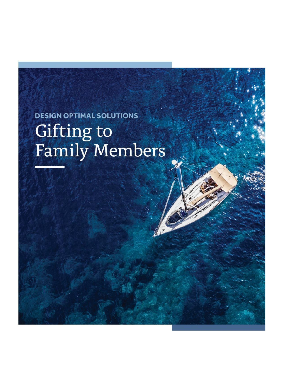**DESIGN OPTIMAL SOLUTIONS** Gifting to<br>Family Members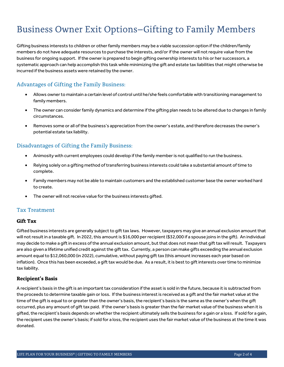# **Business Owner Exit Options-Gifting to Family Members**

Gifting business interests to children or other family members may be a viable succession option if the children/family members do not have adequate resources to purchase the interests, and/or if the owner will not require value from the business for ongoing support. If the owner is prepared to begin gifting ownership interests to his or her successors, a systematic approach can help accomplish this task while minimizing the gift and estate tax liabilities that might otherwise be incurred if the business assets were retained by the owner.

## Advantages of Gifting the Family Business:

- Allows owner to maintain a certain level of control until he/she feels comfortable with transitioning management to family members.
- The owner can consider family dynamics and determine if the gifting plan needs to be altered due to changes in family circumstances.
- Removes some or all of the business's appreciation from the owner's estate, and therefore decreases the owner's potential estate tax liability.

## Disadvantages of Gifting the Family Business:

- Animosity with current employees could develop if the family member is not qualified to run the business.
- Relying solely on a gifting method of transferring business interests could take a substantial amount of time to complete.
- Family members may not be able to maintain customers and the established customer base the owner worked hard to create.
- The owner will not receive value for the business interests gifted.

#### **Tax Treatment**

#### **Gift Tax**

Gifted business interests are generally subject to gift tax laws. However, taxpayers may give an annual exclusion amount that will not result in a taxable gift. In 2022, this amount is \$16,000 per recipient (\$32,000 if a spouse joins in the gift). An individual may decide to make a gift in excess of the annual exclusion amount, but that does not mean that gift tax will result. Taxpayers are also given a lifetime unified credit against the gift tax. Currently, a person can make gifts exceeding the annual exclusion amount equal to \$12,060,000 (in 2022), cumulative, without paying gift tax (this amount increases each year based on inflation). Once this has been exceeded, a gift tax would be due. As a result, it is best to gift interests over time to minimize tax liability.

#### **Recipient's Basis**

A recipient's basis in the gift is an important tax consideration if the asset is sold in the future, because it is subtracted from the proceeds to determine taxable gain or loss. If the business interest is received as a gift and the fair market value at the time of the gift is equal to or greater than the owner's basis, the recipient's basis is the same as the owner's when the gift occurred, plus any amount of gift tax paid. If the owner's basis is greater than the fair market value of the business when it is gifted, the recipient's basis depends on whether the recipient ultimately sells the business for a gain or a loss. If sold for a gain, the recipient uses the owner's basis; if sold for a loss, the recipient uses the fair market value of the business at the time it was donated.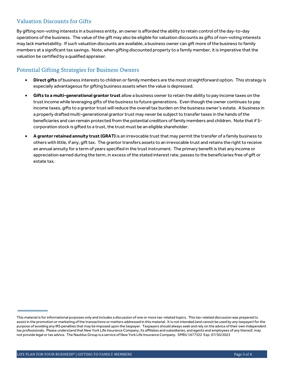## **Valuation Discounts for Gifts**

By gifting non-voting interests in a business entity, an owner is afforded the ability to retain control of the day-to-day operations of the business. The value of the gift may also be eligible for valuation discounts as gifts of non-voting interests may lack marketability. If such valuation discounts are available, a business owner can gift more of the business to family members at a significant tax savings. Note, when gifting discounted property to a family member, it is imperative that the valuation be certified by a qualified appraiser.

## **Potential Gifting Strategies for Business Owners**

- **Direct gifts** of business interests to children or family members are the most straightforward option. This strategy is especially advantageous for gifting business assets when the value is depressed.
- **Gifts to a multi-generational grantor trust** allow a business owner to retain the ability to pay income taxes on the trust income while leveraging gifts of the business to future generations. Even though the owner continues to pay income taxes, gifts to a grantor trust will reduce the overall tax burden on the business owner's estate. A business in a properly drafted multi-generational grantor trust may never be subject to transfer taxes in the hands of the beneficiaries and can remain protected from the potential creditors of family members and children. Note that if Scorporation stock is gifted to a trust, the trust must be an eligible shareholder.
- **A grantor retained annuity trust (GRAT)** is an irrevocable trust that may permit the transfer of a family business to others with little, if any, gift tax. The grantor transfers assets to an irrevocable trust and retains the right to receive an annual annuity for a term of years specified in the trust instrument. The primary benefit is that any income or appreciation earned during the term, in excess of the stated interest rate, passes to the beneficiaries free of gift or estate tax.

This material is for informational purposes only and includes a discussion of one or more tax-related topics. This tax-related discussion was prepared to assist in the promotion or marketing of the transactions or matters addressed in this material. It is not intended (and cannot be used by any taxpayer) for the purpose of avoiding any IRS penalties that may be imposed upon the taxpayer. Taxpayers should always seek and rely on the advice of their own independent tax professionals. Please understand that New York Life Insurance Company, its affiliates and subsidiaries, and agents and employees of any thereof, may not provide legal or tax advice. The Nautilus Group is a service of New York Life Insurance Company. SMRU 1677322 Exp. 07/30/2023